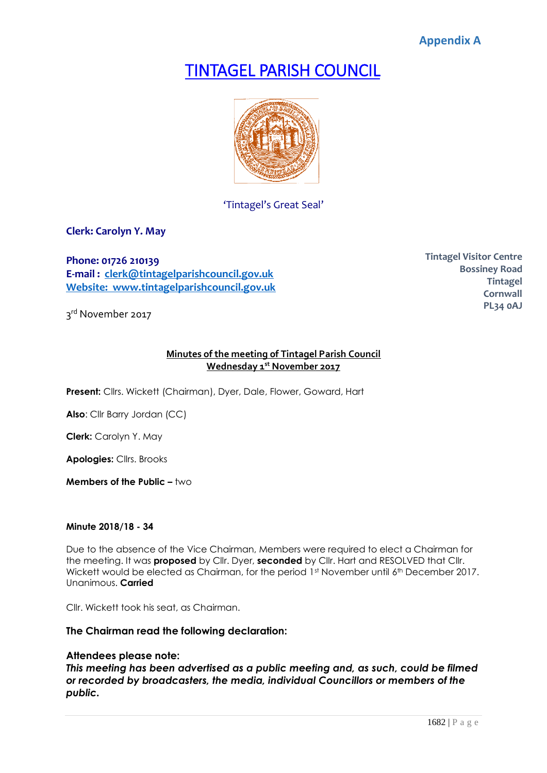**Appendix A**

# TINTAGEL PARISH COUNCIL



'Tintagel's Great Seal'

**Clerk: Carolyn Y. May**

**Phone: 01726 210139 E-mail : [clerk@tintagelparishcouncil.gov.uk](mailto:clerk@tintagelparishcouncil.gov.uk) Website: www.tintagelparishcouncil.gov.uk**

3<sup>rd</sup> November 2017

**Tintagel Visitor Centre Bossiney Road Tintagel Cornwall PL34 0AJ**

# **Minutes of the meeting of Tintagel Parish Council Wednesday 1 st November 2017**

**Present:** Cllrs. Wickett (Chairman), Dyer, Dale, Flower, Goward, Hart

**Also**: Cllr Barry Jordan (CC)

**Clerk:** Carolyn Y. May

**Apologies:** Cllrs. Brooks

**Members of the Public –** two

# **Minute 2018/18 - 34**

Due to the absence of the Vice Chairman, Members were required to elect a Chairman for the meeting. It was **proposed** by Cllr. Dyer, **seconded** by Cllr. Hart and RESOLVED that Cllr. Wickett would be elected as Chairman, for the period 1st November until 6th December 2017. Unanimous. **Carried**

Cllr. Wickett took his seat, as Chairman.

# **The Chairman read the following declaration:**

# **Attendees please note:**

*This meeting has been advertised as a public meeting and, as such, could be filmed or recorded by broadcasters, the media, individual Councillors or members of the public.*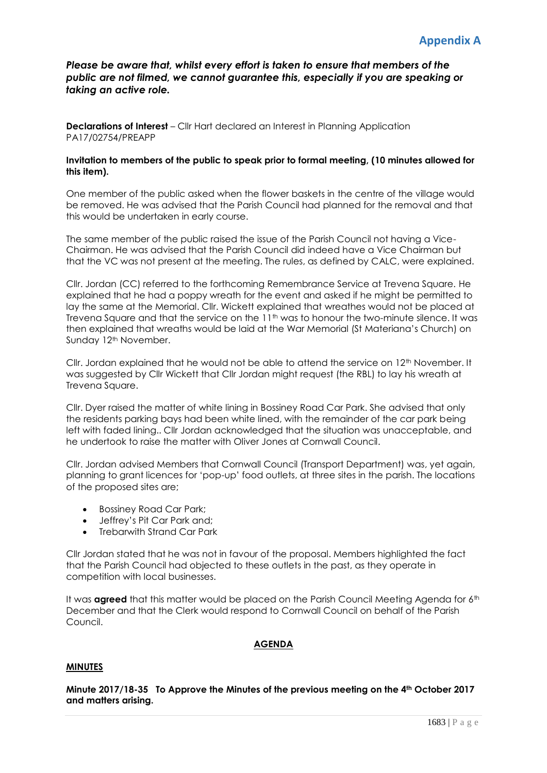*Please be aware that, whilst every effort is taken to ensure that members of the public are not filmed, we cannot guarantee this, especially if you are speaking or taking an active role.*

**Declarations of Interest** – Cllr Hart declared an Interest in Planning Application PA17/02754/PREAPP

# **Invitation to members of the public to speak prior to formal meeting, (10 minutes allowed for this item).**

One member of the public asked when the flower baskets in the centre of the village would be removed. He was advised that the Parish Council had planned for the removal and that this would be undertaken in early course.

The same member of the public raised the issue of the Parish Council not having a Vice-Chairman. He was advised that the Parish Council did indeed have a Vice Chairman but that the VC was not present at the meeting. The rules, as defined by CALC, were explained.

Cllr. Jordan (CC) referred to the forthcoming Remembrance Service at Trevena Square. He explained that he had a poppy wreath for the event and asked if he might be permitted to lay the same at the Memorial. Cllr. Wickett explained that wreathes would not be placed at Trevena Square and that the service on the 11<sup>th</sup> was to honour the two-minute silence. It was then explained that wreaths would be laid at the War Memorial (St Materiana's Church) on Sunday 12<sup>th</sup> November.

Cllr. Jordan explained that he would not be able to attend the service on  $12<sup>th</sup>$  November. It was suggested by Cllr Wickett that Cllr Jordan might request (the RBL) to lay his wreath at Trevena Square.

Cllr. Dyer raised the matter of white lining in Bossiney Road Car Park. She advised that only the residents parking bays had been white lined, with the remainder of the car park being left with faded lining.. Cllr Jordan acknowledged that the situation was unacceptable, and he undertook to raise the matter with Oliver Jones at Cornwall Council.

Cllr. Jordan advised Members that Cornwall Council (Transport Department) was, yet again, planning to grant licences for 'pop-up' food outlets, at three sites in the parish. The locations of the proposed sites are;

- Bossiney Road Car Park;
- Jeffrey's Pit Car Park and;
- Trebarwith Strand Car Park

Cllr Jordan stated that he was not in favour of the proposal. Members highlighted the fact that the Parish Council had objected to these outlets in the past, as they operate in competition with local businesses.

It was **agreed** that this matter would be placed on the Parish Council Meeting Agenda for 6<sup>th</sup> December and that the Clerk would respond to Cornwall Council on behalf of the Parish Council.

# **AGENDA**

# **MINUTES**

**Minute 2017/18-35 To Approve the Minutes of the previous meeting on the 4th October 2017 and matters arising.**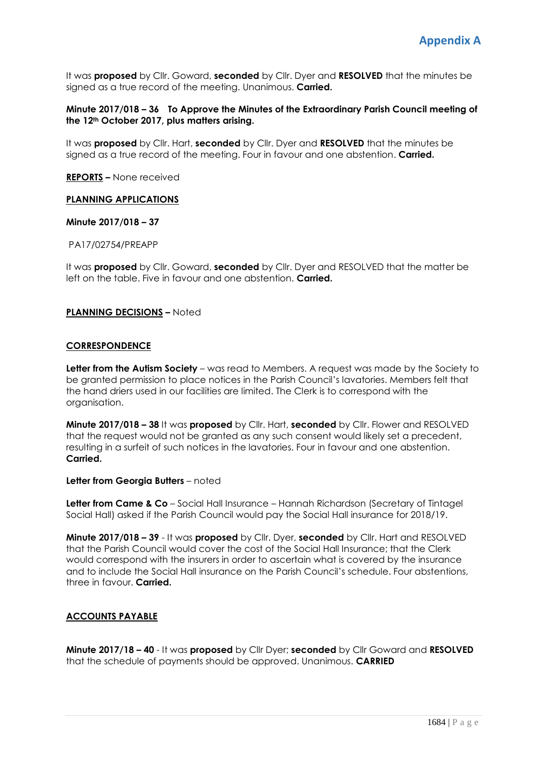It was **proposed** by Cllr. Goward, **seconded** by Cllr. Dyer and **RESOLVED** that the minutes be signed as a true record of the meeting. Unanimous. **Carried.**

# **Minute 2017/018 – 36 To Approve the Minutes of the Extraordinary Parish Council meeting of the 12th October 2017, plus matters arising.**

It was **proposed** by Cllr. Hart, **seconded** by Cllr. Dyer and **RESOLVED** that the minutes be signed as a true record of the meeting. Four in favour and one abstention. **Carried.**

#### **REPORTS –** None received

# **PLANNING APPLICATIONS**

#### **Minute 2017/018 – 37**

#### PA17/02754/PREAPP

It was **proposed** by Cllr. Goward, **seconded** by Cllr. Dyer and RESOLVED that the matter be left on the table. Five in favour and one abstention. **Carried.**

#### **PLANNING DECISIONS –** Noted

#### **CORRESPONDENCE**

**Letter from the Autism Society** – was read to Members. A request was made by the Society to be granted permission to place notices in the Parish Council's lavatories. Members felt that the hand driers used in our facilities are limited. The Clerk is to correspond with the organisation.

**Minute 2017/018 – 38** It was **proposed** by Cllr. Hart, **seconded** by Cllr. Flower and RESOLVED that the request would not be granted as any such consent would likely set a precedent, resulting in a surfeit of such notices in the lavatories. Four in favour and one abstention. **Carried.**

#### **Letter from Georgia Butters** – noted

**Letter from Came & Co** – Social Hall Insurance – Hannah Richardson (Secretary of Tintagel Social Hall) asked if the Parish Council would pay the Social Hall insurance for 2018/19.

**Minute 2017/018 – 39** - It was **proposed** by Cllr. Dyer, **seconded** by Cllr. Hart and RESOLVED that the Parish Council would cover the cost of the Social Hall Insurance; that the Clerk would correspond with the insurers in order to ascertain what is covered by the insurance and to include the Social Hall insurance on the Parish Council's schedule. Four abstentions, three in favour. **Carried.**

# **ACCOUNTS PAYABLE**

**Minute 2017/18 – 40** - It was **proposed** by Cllr Dyer; **seconded** by Cllr Goward and **RESOLVED** that the schedule of payments should be approved. Unanimous. **CARRIED**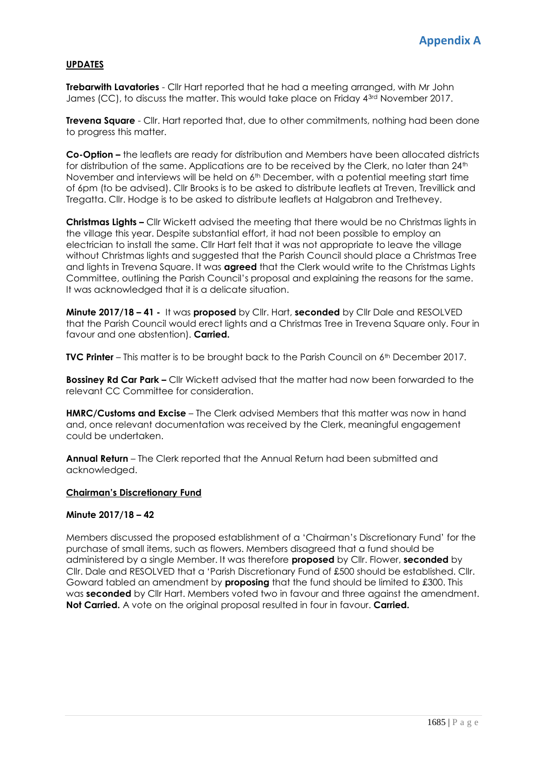# **UPDATES**

**Trebarwith Lavatories** - Cllr Hart reported that he had a meeting arranged, with Mr John James (CC), to discuss the matter. This would take place on Friday 4<sup>3rd</sup> November 2017.

**Trevena Square** - Cllr. Hart reported that, due to other commitments, nothing had been done to progress this matter.

**Co-Option –** the leaflets are ready for distribution and Members have been allocated districts for distribution of the same. Applications are to be received by the Clerk, no later than 24<sup>th</sup> November and interviews will be held on 6<sup>th</sup> December, with a potential meeting start time of 6pm (to be advised). Cllr Brooks is to be asked to distribute leaflets at Treven, Trevillick and Tregatta. Cllr. Hodge is to be asked to distribute leaflets at Halgabron and Trethevey.

**Christmas Lights –** Cllr Wickett advised the meeting that there would be no Christmas lights in the village this year. Despite substantial effort, it had not been possible to employ an electrician to install the same. Cllr Hart felt that it was not appropriate to leave the village without Christmas lights and suggested that the Parish Council should place a Christmas Tree and lights in Trevena Square. It was **agreed** that the Clerk would write to the Christmas Lights Committee, outlining the Parish Council's proposal and explaining the reasons for the same. It was acknowledged that it is a delicate situation.

**Minute 2017/18 – 41 -** It was **proposed** by Cllr. Hart, **seconded** by Cllr Dale and RESOLVED that the Parish Council would erect lights and a Christmas Tree in Trevena Square only. Four in favour and one abstention). **Carried.**

**TVC Printer** – This matter is to be brought back to the Parish Council on 6<sup>th</sup> December 2017.

**Bossiney Rd Car Park –** Cllr Wickett advised that the matter had now been forwarded to the relevant CC Committee for consideration.

**HMRC/Customs and Excise** – The Clerk advised Members that this matter was now in hand and, once relevant documentation was received by the Clerk, meaningful engagement could be undertaken.

**Annual Return** – The Clerk reported that the Annual Return had been submitted and acknowledged.

# **Chairman's Discretionary Fund**

# **Minute 2017/18 – 42**

Members discussed the proposed establishment of a 'Chairman's Discretionary Fund' for the purchase of small items, such as flowers. Members disagreed that a fund should be administered by a single Member. It was therefore **proposed** by Cllr. Flower, **seconded** by Cllr. Dale and RESOLVED that a 'Parish Discretionary Fund of £500 should be established. Cllr. Goward tabled an amendment by **proposing** that the fund should be limited to £300. This was **seconded** by Cllr Hart. Members voted two in favour and three against the amendment. **Not Carried.** A vote on the original proposal resulted in four in favour. **Carried.**